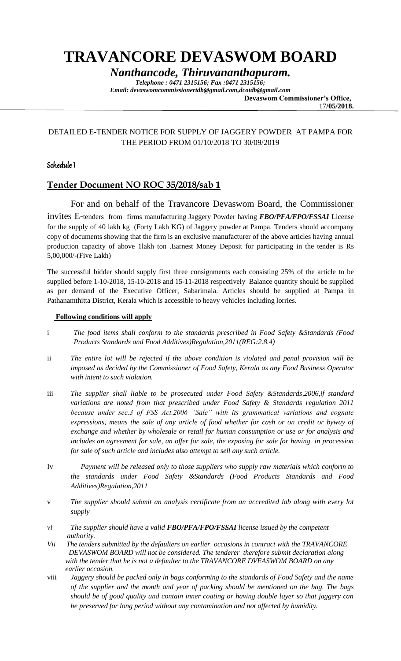# **TRAVANCORE DEVASWOM BOARD**

*Nanthancode, Thiruvananthapuram.*

*Telephone : 0471 2315156; Fax :0471 2315156; Email: devaswomcommissionertdb@gmail.com,dcotdb@gmail.com*  **Devaswom Commissioner's Office,**

17**/05/2018.**

## DETAILED E-TENDER NOTICE FOR SUPPLY OF JAGGERY POWDER AT PAMPA FOR THE PERIOD FROM 01/10/2018 TO 30/09/2019

## Schedule I

# **Tender Document NO ROC 35/2018/sab 1**

 For and on behalf of the Travancore Devaswom Board, the Commissioner invites E-tenders from firms manufacturing Jaggery Powder having *FBO/PFA/FPO/FSSAI* License for the supply of 40 lakh kg (Forty Lakh KG) of Jaggery powder at Pampa. Tenders should accompany copy of documents showing that the firm is an exclusive manufacturer of the above articles having annual production capacity of above 1lakh ton .Earnest Money Deposit for participating in the tender is Rs 5,00,000/-(Five Lakh)

The successful bidder should supply first three consignments each consisting 25% of the article to be supplied before 1-10-2018, 15-10-2018 and 15-11-2018 respectively Balance quantity should be supplied as per demand of the Executive Officer, Sabarimala. Articles should be supplied at Pampa in Pathanamthitta District, Kerala which is accessible to heavy vehicles including lorries.

#### **Following conditions will apply**

- i *The food items shall conform to the standards prescribed in Food Safety &Standards (Food Products Standards and Food Additives)Regulation,2011(REG:2.8.4)*
- ii *The entire lot will be rejected if the above condition is violated and penal provision will be imposed as decided by the Commissioner of Food Safety, Kerala as any Food Business Operator with intent to such violation.*
- iii *The supplier shall liable to be prosecuted under Food Safety &Standards,2006,if standard variations are noted from that prescribed under Food Safety & Standards regulation 2011 because under sec.3 of FSS Act.2006 "Sale" with its grammatical variations and cognate expressions, means the sale of any article of food whether for cash or on credit or byway of exchange and whether by wholesale or retail for human consumption or use or for analysis and includes an agreement for sale, an offer for sale, the exposing for sale for having in procession for sale of such article and includes also attempt to sell any such article.*
- Iv *Payment will be released only to those suppliers who supply raw materials which conform to the standards under Food Safety &Standards (Food Products Standards and Food Additives)Regulation,2011*
- v *The supplier should submit an analysis certificate from an accredited lab along with every lot supply*
- *vi The supplier should have a valid FBO/PFA/FPO/FSSAI license issued by the competent authority.*
- *Vii The tenders submitted by the defaulters on earlier occasions in contract with the TRAVANCORE DEVASWOM BOARD will not be considered. The tenderer therefore submit declaration along with the tender that he is not a defaulter to the TRAVANCORE DVEASWOM BOARD on any earlier occasion.*
- viii *Jaggery should be packed only in bags conforming to the standards of Food Safety and the name of the supplier and the month and year of packing should be mentioned on the bag. The bags should be of good quality and contain inner coating or having double layer so that jaggery can be preserved for long period without any contamination and not affected by humidity.*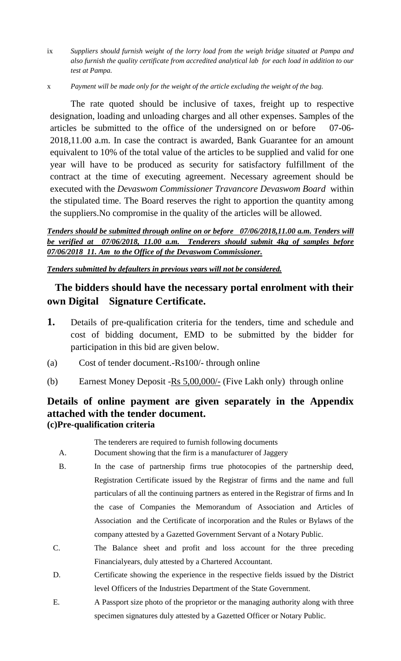- ix *Suppliers should furnish weight of the lorry load from the weigh bridge situated at Pampa and also furnish the quality certificate from accredited analytical lab for each load in addition to our test at Pampa.*
- x *Payment will be made only for the weight of the article excluding the weight of the bag.*

The rate quoted should be inclusive of taxes, freight up to respective designation, loading and unloading charges and all other expenses. Samples of the articles be submitted to the office of the undersigned on or before 07-06- 2018,11.00 a.m. In case the contract is awarded, Bank Guarantee for an amount equivalent to 10% of the total value of the articles to be supplied and valid for one year will have to be produced as security for satisfactory fulfillment of the contract at the time of executing agreement. Necessary agreement should be executed with the *Devaswom Commissioner Travancore Devaswom Board* within the stipulated time. The Board reserves the right to apportion the quantity among the suppliers.No compromise in the quality of the articles will be allowed.

*Tenders should be submitted through online on or before 07/06/2018,11.00 a.m. Tenders will be verified at 07/06/2018, 11.00 a.m. Tenderers should submit 4kg of samples before 07/06/2018 11. Am to the Office of the Devaswom Commissioner.*

*Tenders submitted by defaulters in previous years will not be considered.*

# **The bidders should have the necessary portal enrolment with their own Digital Signature Certificate.**

- **1.** Details of pre-qualification criteria for the tenders, time and schedule and cost of bidding document, EMD to be submitted by the bidder for participation in this bid are given below.
- (a) Cost of tender document.-Rs100/- through online
- (b) Earnest Money Deposit Rs 5,00,000/- (Five Lakh only) through online

# **Details of online payment are given separately in the Appendix attached with the tender document. (c)Pre-qualification criteria**

# The tenderers are required to furnish following documents

- A. Document showing that the firm is a manufacturer of Jaggery
- B. In the case of partnership firms true photocopies of the partnership deed, Registration Certificate issued by the Registrar of firms and the name and full particulars of all the continuing partners as entered in the Registrar of firms and In the case of Companies the Memorandum of Association and Articles of Association and the Certificate of incorporation and the Rules or Bylaws of the company attested by a Gazetted Government Servant of a Notary Public.
- C. The Balance sheet and profit and loss account for the three preceding Financialyears, duly attested by a Chartered Accountant.
- D. Certificate showing the experience in the respective fields issued by the District level Officers of the Industries Department of the State Government.
- E. A Passport size photo of the proprietor or the managing authority along with three specimen signatures duly attested by a Gazetted Officer or Notary Public.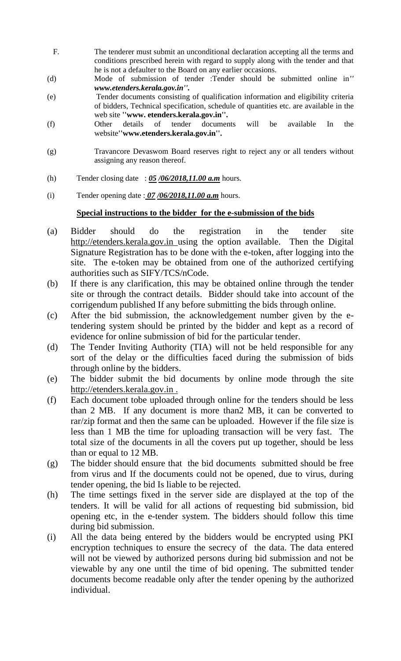- F. The tenderer must submit an unconditional declaration accepting all the terms and conditions prescribed herein with regard to supply along with the tender and that he is not a defaulter to the Board on any earlier occasions.
- (d) Mode of submission of tender :Tender should be submitted online in*'' www.etenders.kerala.gov.in''.*
- (e) Tender documents consisting of qualification information and eligibility criteria of bidders, Technical specification, schedule of quantities etc. are available in the web site **''www. etenders.kerala.gov.in''.**
- (f) Other details of tender documents will be available In the website**''www.etenders.kerala.gov.in''.**
- (g) Travancore Devaswom Board reserves right to reject any or all tenders without assigning any reason thereof.
- (h) Tender closing date : *05 /06/2018,11.00 a.m* hours.
- (i) Tender opening date : *07 /06/2018,11.00 a.m* hours.

## **Special instructions to the bidder for the e-submission of the bids**

- (a) Bidder should do the registration in the tender site http://etenders.kerala.gov.in using the option available. Then the Digital Signature Registration has to be done with the e-token, after logging into the site. The e-token may be obtained from one of the authorized certifying authorities such as SIFY/TCS/nCode.
- (b) If there is any clarification, this may be obtained online through the tender site or through the contract details. Bidder should take into account of the corrigendum published If any before submitting the bids through online.
- (c) After the bid submission, the acknowledgement number given by the etendering system should be printed by the bidder and kept as a record of evidence for online submission of bid for the particular tender.
- (d) The Tender Inviting Authority (TIA) will not be held responsible for any sort of the delay or the difficulties faced during the submission of bids through online by the bidders.
- (e) The bidder submit the bid documents by online mode through the site http://etenders.kerala.gov.in .
- (f) Each document tobe uploaded through online for the tenders should be less than 2 MB. If any document is more than2 MB, it can be converted to rar/zip format and then the same can be uploaded. However if the file size is less than 1 MB the time for uploading transaction will be very fast. The total size of the documents in all the covers put up together, should be less than or equal to 12 MB.
- (g) The bidder should ensure that the bid documents submitted should be free from virus and If the documents could not be opened, due to virus, during tender opening, the bid Is liable to be rejected.
- (h) The time settings fixed in the server side are displayed at the top of the tenders. It will be valid for all actions of requesting bid submission, bid opening etc, in the e-tender system. The bidders should follow this time during bid submission.
- (i) All the data being entered by the bidders would be encrypted using PKI encryption techniques to ensure the secrecy of the data. The data entered will not be viewed by authorized persons during bid submission and not be viewable by any one until the time of bid opening. The submitted tender documents become readable only after the tender opening by the authorized individual.